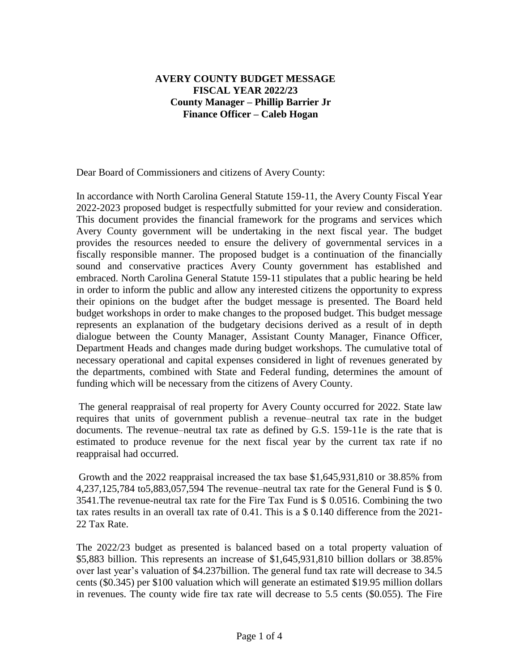# **AVERY COUNTY BUDGET MESSAGE FISCAL YEAR 2022/23 County Manager – Phillip Barrier Jr Finance Officer – Caleb Hogan**

Dear Board of Commissioners and citizens of Avery County:

In accordance with North Carolina General Statute 159-11, the Avery County Fiscal Year 2022-2023 proposed budget is respectfully submitted for your review and consideration. This document provides the financial framework for the programs and services which Avery County government will be undertaking in the next fiscal year. The budget provides the resources needed to ensure the delivery of governmental services in a fiscally responsible manner. The proposed budget is a continuation of the financially sound and conservative practices Avery County government has established and embraced. North Carolina General Statute 159-11 stipulates that a public hearing be held in order to inform the public and allow any interested citizens the opportunity to express their opinions on the budget after the budget message is presented. The Board held budget workshops in order to make changes to the proposed budget. This budget message represents an explanation of the budgetary decisions derived as a result of in depth dialogue between the County Manager, Assistant County Manager, Finance Officer, Department Heads and changes made during budget workshops. The cumulative total of necessary operational and capital expenses considered in light of revenues generated by the departments, combined with State and Federal funding, determines the amount of funding which will be necessary from the citizens of Avery County.

The general reappraisal of real property for Avery County occurred for 2022. State law requires that units of government publish a revenue–neutral tax rate in the budget documents. The revenue–neutral tax rate as defined by G.S. 159-11e is the rate that is estimated to produce revenue for the next fiscal year by the current tax rate if no reappraisal had occurred.

Growth and the 2022 reappraisal increased the tax base \$1,645,931,810 or 38.85% from 4,237,125,784 to5,883,057,594 The revenue–neutral tax rate for the General Fund is \$ 0. 3541.The revenue-neutral tax rate for the Fire Tax Fund is \$ 0.0516. Combining the two tax rates results in an overall tax rate of 0.41. This is a \$ 0.140 difference from the 2021- 22 Tax Rate.

The 2022/23 budget as presented is balanced based on a total property valuation of \$5,883 billion. This represents an increase of \$1,645,931,810 billion dollars or 38.85% over last year's valuation of \$4.237billion. The general fund tax rate will decrease to 34.5 cents (\$0.345) per \$100 valuation which will generate an estimated \$19.95 million dollars in revenues. The county wide fire tax rate will decrease to 5.5 cents (\$0.055). The Fire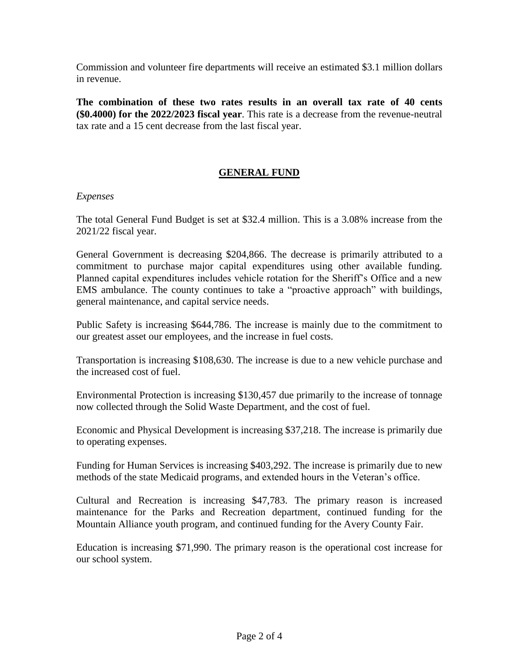Commission and volunteer fire departments will receive an estimated \$3.1 million dollars in revenue.

**The combination of these two rates results in an overall tax rate of 40 cents (\$0.4000) for the 2022/2023 fiscal year**. This rate is a decrease from the revenue-neutral tax rate and a 15 cent decrease from the last fiscal year.

# **GENERAL FUND**

### *Expenses*

The total General Fund Budget is set at \$32.4 million. This is a 3.08% increase from the 2021/22 fiscal year.

General Government is decreasing \$204,866. The decrease is primarily attributed to a commitment to purchase major capital expenditures using other available funding. Planned capital expenditures includes vehicle rotation for the Sheriff's Office and a new EMS ambulance. The county continues to take a "proactive approach" with buildings, general maintenance, and capital service needs.

Public Safety is increasing \$644,786. The increase is mainly due to the commitment to our greatest asset our employees, and the increase in fuel costs.

Transportation is increasing \$108,630. The increase is due to a new vehicle purchase and the increased cost of fuel.

Environmental Protection is increasing \$130,457 due primarily to the increase of tonnage now collected through the Solid Waste Department, and the cost of fuel.

Economic and Physical Development is increasing \$37,218. The increase is primarily due to operating expenses.

Funding for Human Services is increasing \$403,292. The increase is primarily due to new methods of the state Medicaid programs, and extended hours in the Veteran's office.

Cultural and Recreation is increasing \$47,783. The primary reason is increased maintenance for the Parks and Recreation department, continued funding for the Mountain Alliance youth program, and continued funding for the Avery County Fair.

Education is increasing \$71,990. The primary reason is the operational cost increase for our school system.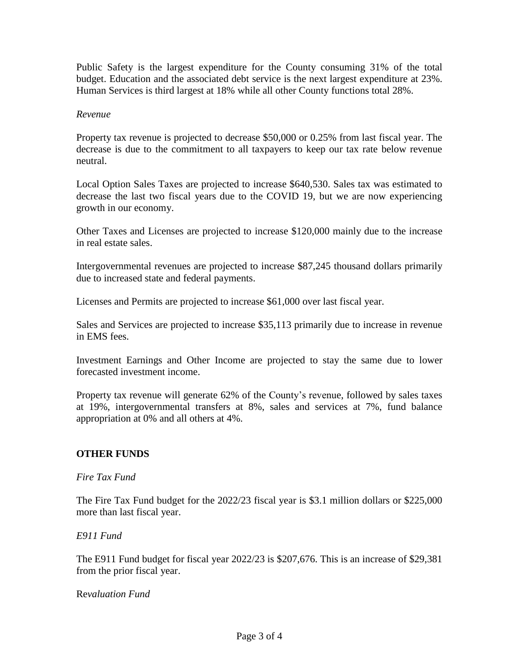Public Safety is the largest expenditure for the County consuming 31% of the total budget. Education and the associated debt service is the next largest expenditure at 23%. Human Services is third largest at 18% while all other County functions total 28%.

### *Revenue*

Property tax revenue is projected to decrease \$50,000 or 0.25% from last fiscal year. The decrease is due to the commitment to all taxpayers to keep our tax rate below revenue neutral.

Local Option Sales Taxes are projected to increase \$640,530. Sales tax was estimated to decrease the last two fiscal years due to the COVID 19, but we are now experiencing growth in our economy.

Other Taxes and Licenses are projected to increase \$120,000 mainly due to the increase in real estate sales.

Intergovernmental revenues are projected to increase \$87,245 thousand dollars primarily due to increased state and federal payments.

Licenses and Permits are projected to increase \$61,000 over last fiscal year.

Sales and Services are projected to increase \$35,113 primarily due to increase in revenue in EMS fees.

Investment Earnings and Other Income are projected to stay the same due to lower forecasted investment income.

Property tax revenue will generate 62% of the County's revenue, followed by sales taxes at 19%, intergovernmental transfers at 8%, sales and services at 7%, fund balance appropriation at 0% and all others at 4%.

## **OTHER FUNDS**

*Fire Tax Fund*

The Fire Tax Fund budget for the 2022/23 fiscal year is \$3.1 million dollars or \$225,000 more than last fiscal year.

*E911 Fund*

The E911 Fund budget for fiscal year 2022/23 is \$207,676. This is an increase of \$29,381 from the prior fiscal year.

Re*valuation Fund*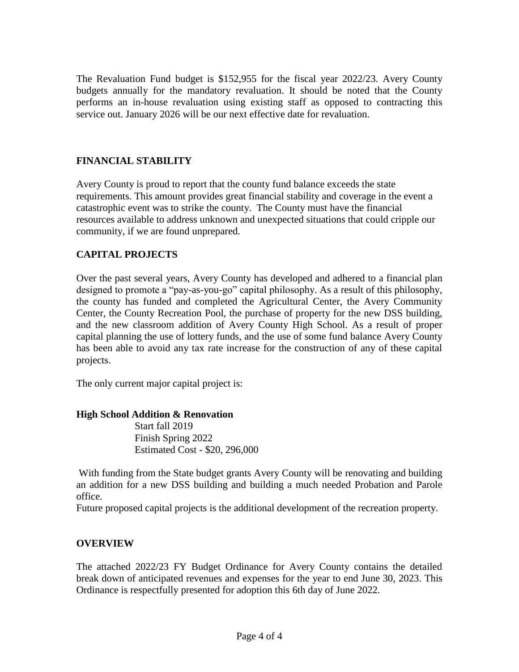The Revaluation Fund budget is \$152,955 for the fiscal year 2022/23. Avery County budgets annually for the mandatory revaluation. It should be noted that the County performs an in-house revaluation using existing staff as opposed to contracting this service out. January 2026 will be our next effective date for revaluation.

# **FINANCIAL STABILITY**

Avery County is proud to report that the county fund balance exceeds the state requirements. This amount provides great financial stability and coverage in the event a catastrophic event was to strike the county. The County must have the financial resources available to address unknown and unexpected situations that could cripple our community, if we are found unprepared.

# **CAPITAL PROJECTS**

Over the past several years, Avery County has developed and adhered to a financial plan designed to promote a "pay-as-you-go" capital philosophy. As a result of this philosophy, the county has funded and completed the Agricultural Center, the Avery Community Center, the County Recreation Pool, the purchase of property for the new DSS building, and the new classroom addition of Avery County High School. As a result of proper capital planning the use of lottery funds, and the use of some fund balance Avery County has been able to avoid any tax rate increase for the construction of any of these capital projects.

The only current major capital project is:

## **High School Addition & Renovation**

 Start fall 2019 Finish Spring 2022 Estimated Cost - \$20, 296,000

With funding from the State budget grants Avery County will be renovating and building an addition for a new DSS building and building a much needed Probation and Parole office.

Future proposed capital projects is the additional development of the recreation property.

## **OVERVIEW**

The attached 2022/23 FY Budget Ordinance for Avery County contains the detailed break down of anticipated revenues and expenses for the year to end June 30, 2023. This Ordinance is respectfully presented for adoption this 6th day of June 2022.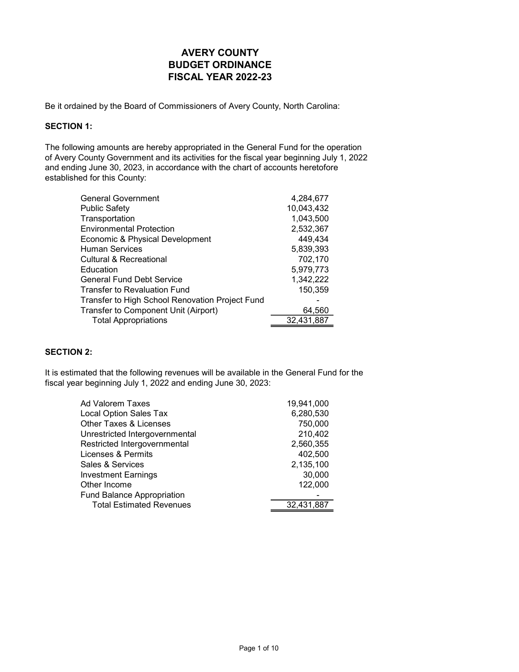Be it ordained by the Board of Commissioners of Avery County, North Carolina:

### SECTION 1:

The following amounts are hereby appropriated in the General Fund for the operation of Avery County Government and its activities for the fiscal year beginning July 1, 2022 and ending June 30, 2023, in accordance with the chart of accounts heretofore established for this County:

| <b>General Government</b>                       | 4,284,677  |
|-------------------------------------------------|------------|
| <b>Public Safety</b>                            | 10,043,432 |
| Transportation                                  | 1,043,500  |
| <b>Environmental Protection</b>                 | 2,532,367  |
| Economic & Physical Development                 | 449,434    |
| <b>Human Services</b>                           | 5,839,393  |
| Cultural & Recreational                         | 702,170    |
| Education                                       | 5,979,773  |
| <b>General Fund Debt Service</b>                | 1,342,222  |
| <b>Transfer to Revaluation Fund</b>             | 150,359    |
| Transfer to High School Renovation Project Fund |            |
| Transfer to Component Unit (Airport)            | 64,560     |
| <b>Total Appropriations</b>                     | 32,431,887 |
|                                                 |            |

### SECTION 2:

It is estimated that the following revenues will be available in the General Fund for the fiscal year beginning July 1, 2022 and ending June 30, 2023:

| Ad Valorem Taxes                  | 19,941,000 |
|-----------------------------------|------------|
| <b>Local Option Sales Tax</b>     | 6,280,530  |
| Other Taxes & Licenses            | 750,000    |
| Unrestricted Intergovernmental    | 210,402    |
| Restricted Intergovernmental      | 2,560,355  |
| Licenses & Permits                | 402,500    |
| Sales & Services                  | 2,135,100  |
| <b>Investment Earnings</b>        | 30,000     |
| Other Income                      | 122,000    |
| <b>Fund Balance Appropriation</b> |            |
| <b>Total Estimated Revenues</b>   | 32,431,887 |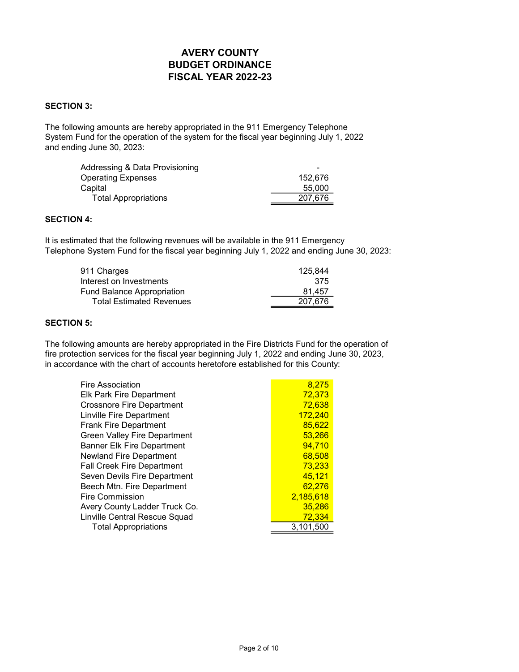#### SECTION 3:

The following amounts are hereby appropriated in the 911 Emergency Telephone System Fund for the operation of the system for the fiscal year beginning July 1, 2022 and ending June 30, 2023:

| Addressing & Data Provisioning | -       |
|--------------------------------|---------|
| <b>Operating Expenses</b>      | 152.676 |
| Capital                        | 55,000  |
| <b>Total Appropriations</b>    | 207.676 |

### SECTION 4:

It is estimated that the following revenues will be available in the 911 Emergency Telephone System Fund for the fiscal year beginning July 1, 2022 and ending June 30, 2023:

| 911 Charges                       | 125.844 |
|-----------------------------------|---------|
| Interest on Investments           | 375     |
| <b>Fund Balance Appropriation</b> | 81.457  |
| <b>Total Estimated Revenues</b>   | 207.676 |

### SECTION 5:

The following amounts are hereby appropriated in the Fire Districts Fund for the operation of fire protection services for the fiscal year beginning July 1, 2022 and ending June 30, 2023, in accordance with the chart of accounts heretofore established for this County:

| 8,275     |
|-----------|
| 72,373    |
| 72,638    |
| 172,240   |
| 85,622    |
| 53.266    |
| 94,710    |
| 68,508    |
| 73,233    |
| 45,121    |
| 62.276    |
| 2.185.618 |
| 35.286    |
| 72,334    |
| 3,101,500 |
|           |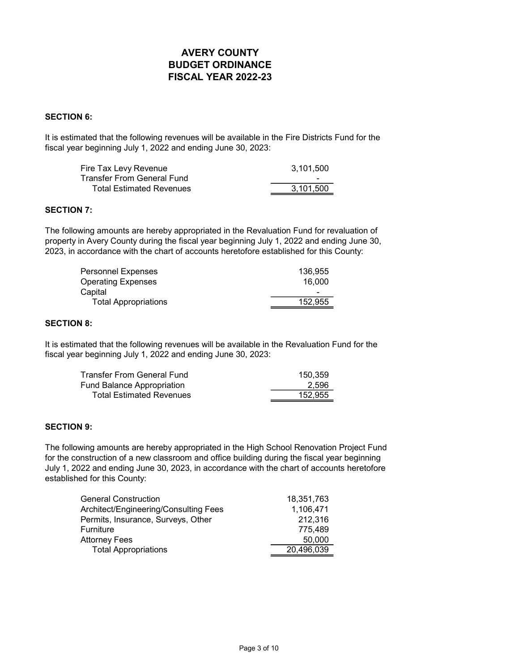### SECTION 6:

It is estimated that the following revenues will be available in the Fire Districts Fund for the fiscal year beginning July 1, 2022 and ending June 30, 2023:

| Fire Tax Levy Revenue             | 3.101.500                |
|-----------------------------------|--------------------------|
| <b>Transfer From General Fund</b> | $\overline{\phantom{0}}$ |
| <b>Total Estimated Revenues</b>   | 3.101.500                |

### SECTION 7:

The following amounts are hereby appropriated in the Revaluation Fund for revaluation of property in Avery County during the fiscal year beginning July 1, 2022 and ending June 30, 2023, in accordance with the chart of accounts heretofore established for this County:

| Personnel Expenses          | 136.955 |
|-----------------------------|---------|
| Operating Expenses          | 16.000  |
| Capital                     |         |
| <b>Total Appropriations</b> | 152.955 |

### SECTION 8:

It is estimated that the following revenues will be available in the Revaluation Fund for the fiscal year beginning July 1, 2022 and ending June 30, 2023:

| <b>Transfer From General Fund</b> | 150.359 |
|-----------------------------------|---------|
| Fund Balance Appropriation        | 2.596   |
| <b>Total Estimated Revenues</b>   | 152.955 |

### SECTION 9:

The following amounts are hereby appropriated in the High School Renovation Project Fund for the construction of a new classroom and office building during the fiscal year beginning July 1, 2022 and ending June 30, 2023, in accordance with the chart of accounts heretofore established for this County:

| General Construction                  | 18,351,763 |
|---------------------------------------|------------|
| Architect/Engineering/Consulting Fees | 1,106,471  |
| Permits, Insurance, Surveys, Other    | 212,316    |
| Furniture                             | 775.489    |
| Attorney Fees                         | 50,000     |
| <b>Total Appropriations</b>           | 20,496,039 |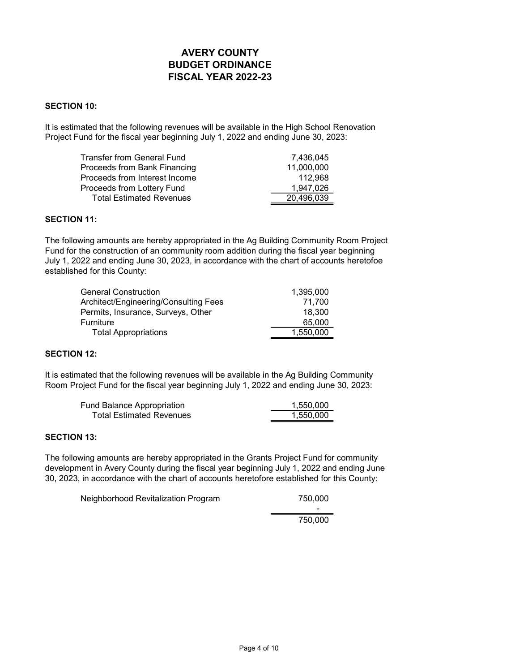#### SECTION 10:

It is estimated that the following revenues will be available in the High School Renovation Project Fund for the fiscal year beginning July 1, 2022 and ending June 30, 2023:

| Transfer from General Fund      | 7,436,045  |
|---------------------------------|------------|
| Proceeds from Bank Financing    | 11,000,000 |
| Proceeds from Interest Income   | 112.968    |
| Proceeds from Lottery Fund      | 1,947,026  |
| <b>Total Estimated Revenues</b> | 20,496,039 |

### SECTION 11:

The following amounts are hereby appropriated in the Ag Building Community Room Project Fund for the construction of an community room addition during the fiscal year beginning July 1, 2022 and ending June 30, 2023, in accordance with the chart of accounts heretofoe established for this County:

| General Construction                  | 1.395.000 |
|---------------------------------------|-----------|
| Architect/Engineering/Consulting Fees | 71.700    |
| Permits, Insurance, Surveys, Other    | 18.300    |
| Furniture                             | 65,000    |
| <b>Total Appropriations</b>           | 1.550.000 |

#### SECTION 12:

It is estimated that the following revenues will be available in the Ag Building Community Room Project Fund for the fiscal year beginning July 1, 2022 and ending June 30, 2023:

| Fund Balance Appropriation      | 1.550.000 |
|---------------------------------|-----------|
| <b>Total Estimated Revenues</b> | 1.550.000 |

#### SECTION 13:

The following amounts are hereby appropriated in the Grants Project Fund for community development in Avery County during the fiscal year beginning July 1, 2022 and ending June 30, 2023, in accordance with the chart of accounts heretofore established for this County:

Neighborhood Revitalization Program 750,000

-

750,000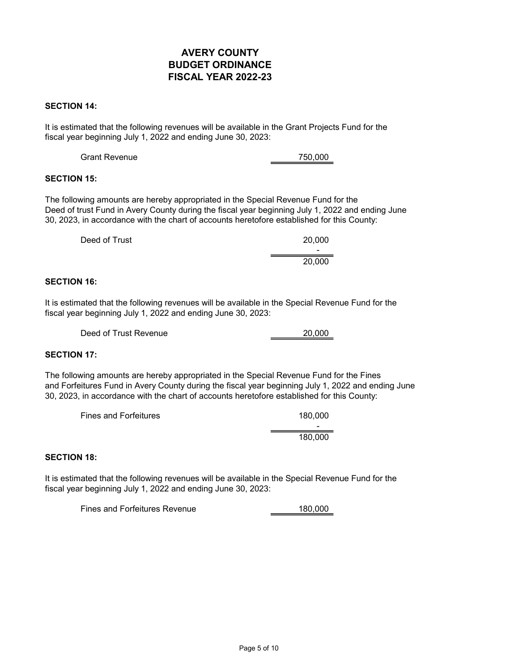#### SECTION 14:

It is estimated that the following revenues will be available in the Grant Projects Fund for the fiscal year beginning July 1, 2022 and ending June 30, 2023:

### SECTION 15:

The following amounts are hereby appropriated in the Special Revenue Fund for the Deed of trust Fund in Avery County during the fiscal year beginning July 1, 2022 and ending June 30, 2023, in accordance with the chart of accounts heretofore established for this County:

| Deed of Trust | 20,000                   |
|---------------|--------------------------|
|               | $\overline{\phantom{0}}$ |
|               | 20,000                   |

#### SECTION 16:

It is estimated that the following revenues will be available in the Special Revenue Fund for the fiscal year beginning July 1, 2022 and ending June 30, 2023:

| Deed of Trust Revenue | 20.000 |
|-----------------------|--------|
|                       |        |

### SECTION 17:

The following amounts are hereby appropriated in the Special Revenue Fund for the Fines and Forfeitures Fund in Avery County during the fiscal year beginning July 1, 2022 and ending June 30, 2023, in accordance with the chart of accounts heretofore established for this County:

| <b>Fines and Forfeitures</b> | 180,000                  |
|------------------------------|--------------------------|
|                              | $\overline{\phantom{0}}$ |
|                              | 180,000                  |

### SECTION 18:

It is estimated that the following revenues will be available in the Special Revenue Fund for the fiscal year beginning July 1, 2022 and ending June 30, 2023:

Fines and Forfeitures Revenue 180,000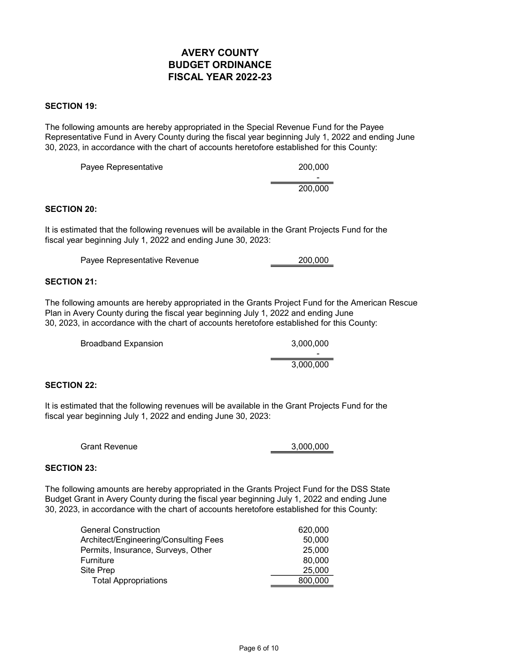#### SECTION 19:

The following amounts are hereby appropriated in the Special Revenue Fund for the Payee Representative Fund in Avery County during the fiscal year beginning July 1, 2022 and ending June 30, 2023, in accordance with the chart of accounts heretofore established for this County:

| Payee Representative | 200,000                  |
|----------------------|--------------------------|
|                      | $\overline{\phantom{0}}$ |
|                      | 200,000                  |

#### SECTION 20:

It is estimated that the following revenues will be available in the Grant Projects Fund for the fiscal year beginning July 1, 2022 and ending June 30, 2023:

| 200,000 |
|---------|
|         |

#### SECTION 21:

The following amounts are hereby appropriated in the Grants Project Fund for the American Rescue Plan in Avery County during the fiscal year beginning July 1, 2022 and ending June 30, 2023, in accordance with the chart of accounts heretofore established for this County:

| <b>Broadband Expansion</b> | 3,000,000 |
|----------------------------|-----------|
|                            | -         |
|                            | 3.000.000 |

#### SECTION 22:

It is estimated that the following revenues will be available in the Grant Projects Fund for the fiscal year beginning July 1, 2022 and ending June 30, 2023:

| <b>Grant Revenue</b> | 3,000,000 |
|----------------------|-----------|
|                      |           |

### SECTION 23:

The following amounts are hereby appropriated in the Grants Project Fund for the DSS State Budget Grant in Avery County during the fiscal year beginning July 1, 2022 and ending June 30, 2023, in accordance with the chart of accounts heretofore established for this County:

| General Construction                  | 620,000 |
|---------------------------------------|---------|
| Architect/Engineering/Consulting Fees | 50,000  |
| Permits, Insurance, Surveys, Other    | 25,000  |
| Furniture                             | 80,000  |
| Site Prep                             | 25,000  |
| <b>Total Appropriations</b>           | 800,000 |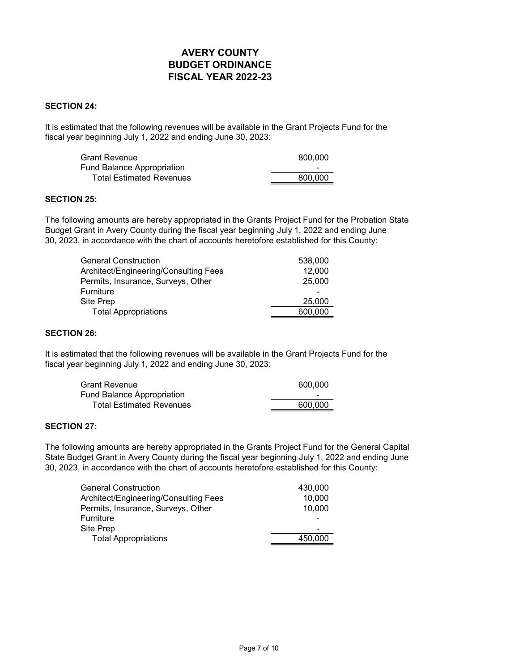#### SECTION 24:

It is estimated that the following revenues will be available in the Grant Projects Fund for the fiscal year beginning July 1, 2022 and ending June 30, 2023:

| <b>Grant Revenue</b>            | 800,000 |
|---------------------------------|---------|
| Fund Balance Appropriation      | -       |
| <b>Total Estimated Revenues</b> | 800.000 |

#### SECTION 25:

The following amounts are hereby appropriated in the Grants Project Fund for the Probation State Budget Grant in Avery County during the fiscal year beginning July 1, 2022 and ending June 30, 2023, in accordance with the chart of accounts heretofore established for this County:

| General Construction                  | 538,000 |
|---------------------------------------|---------|
| Architect/Engineering/Consulting Fees | 12,000  |
| Permits, Insurance, Surveys, Other    | 25,000  |
| Furniture                             |         |
| Site Prep                             | 25,000  |
| <b>Total Appropriations</b>           | 600,000 |

### SECTION 26:

It is estimated that the following revenues will be available in the Grant Projects Fund for the fiscal year beginning July 1, 2022 and ending June 30, 2023:

| <b>Grant Revenue</b>            | 600,000                  |
|---------------------------------|--------------------------|
| Fund Balance Appropriation      | $\overline{\phantom{a}}$ |
| <b>Total Estimated Revenues</b> | 600.000                  |

### SECTION 27:

The following amounts are hereby appropriated in the Grants Project Fund for the General Capital State Budget Grant in Avery County during the fiscal year beginning July 1, 2022 and ending June 30, 2023, in accordance with the chart of accounts heretofore established for this County:

| General Construction                  | 430,000 |
|---------------------------------------|---------|
| Architect/Engineering/Consulting Fees | 10,000  |
| Permits, Insurance, Surveys, Other    | 10,000  |
| Furniture                             |         |
| Site Prep                             |         |
| <b>Total Appropriations</b>           | 450.000 |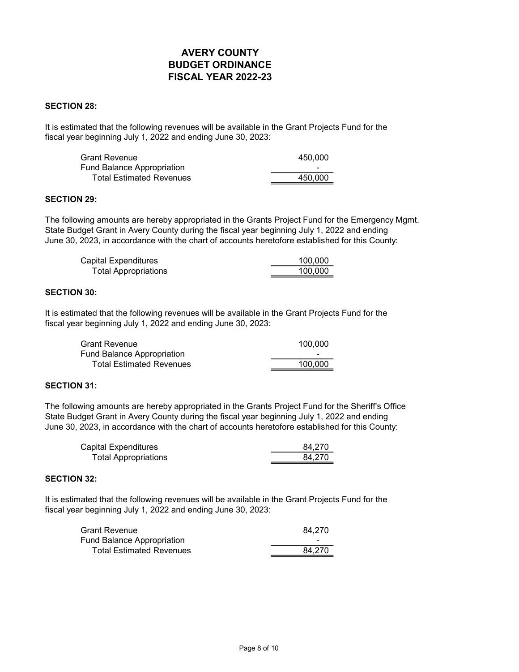#### SECTION 28:

It is estimated that the following revenues will be available in the Grant Projects Fund for the fiscal year beginning July 1, 2022 and ending June 30, 2023:

| <b>Grant Revenue</b>            | 450.000                  |
|---------------------------------|--------------------------|
| Fund Balance Appropriation      | $\overline{\phantom{0}}$ |
| <b>Total Estimated Revenues</b> | 450.000                  |

#### SECTION 29:

The following amounts are hereby appropriated in the Grants Project Fund for the Emergency Mgmt. State Budget Grant in Avery County during the fiscal year beginning July 1, 2022 and ending June 30, 2023, in accordance with the chart of accounts heretofore established for this County:

| Capital Expenditures        | 100.000 |
|-----------------------------|---------|
| <b>Total Appropriations</b> | 100.000 |

### SECTION 30:

It is estimated that the following revenues will be available in the Grant Projects Fund for the fiscal year beginning July 1, 2022 and ending June 30, 2023:

| <b>Grant Revenue</b>              | 100.000                  |
|-----------------------------------|--------------------------|
| <b>Fund Balance Appropriation</b> | $\overline{\phantom{a}}$ |
| <b>Total Estimated Revenues</b>   | 100.000                  |

#### SECTION 31:

The following amounts are hereby appropriated in the Grants Project Fund for the Sheriff's Office State Budget Grant in Avery County during the fiscal year beginning July 1, 2022 and ending June 30, 2023, in accordance with the chart of accounts heretofore established for this County:

| <b>Capital Expenditures</b> | 84.270 |
|-----------------------------|--------|
| <b>Total Appropriations</b> | 84.270 |

### SECTION 32:

It is estimated that the following revenues will be available in the Grant Projects Fund for the fiscal year beginning July 1, 2022 and ending June 30, 2023:

| <b>Grant Revenue</b>              | 84.270 |
|-----------------------------------|--------|
| <b>Fund Balance Appropriation</b> | -      |
| <b>Total Estimated Revenues</b>   | 84.270 |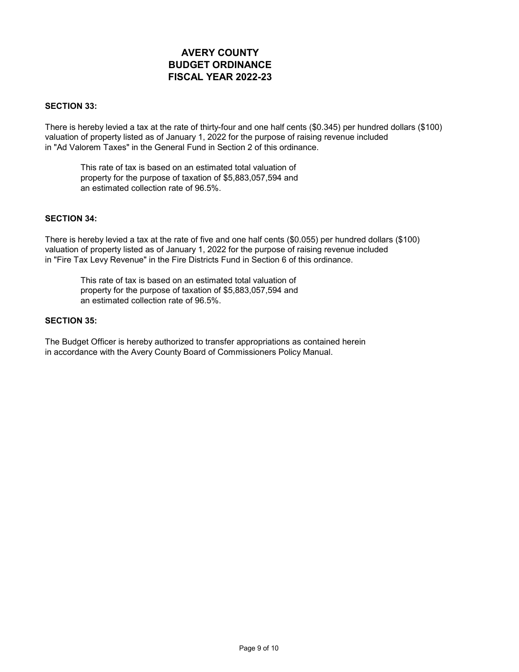#### SECTION 33:

There is hereby levied a tax at the rate of thirty-four and one half cents (\$0.345) per hundred dollars (\$100) valuation of property listed as of January 1, 2022 for the purpose of raising revenue included in "Ad Valorem Taxes" in the General Fund in Section 2 of this ordinance.

This rate of tax is based on an estimated total valuation of property for the purpose of taxation of \$5,883,057,594 and an estimated collection rate of 96.5%.

#### SECTION 34:

There is hereby levied a tax at the rate of five and one half cents (\$0.055) per hundred dollars (\$100) valuation of property listed as of January 1, 2022 for the purpose of raising revenue included in "Fire Tax Levy Revenue" in the Fire Districts Fund in Section 6 of this ordinance.

This rate of tax is based on an estimated total valuation of property for the purpose of taxation of \$5,883,057,594 and an estimated collection rate of 96.5%.

#### SECTION 35:

The Budget Officer is hereby authorized to transfer appropriations as contained herein in accordance with the Avery County Board of Commissioners Policy Manual.